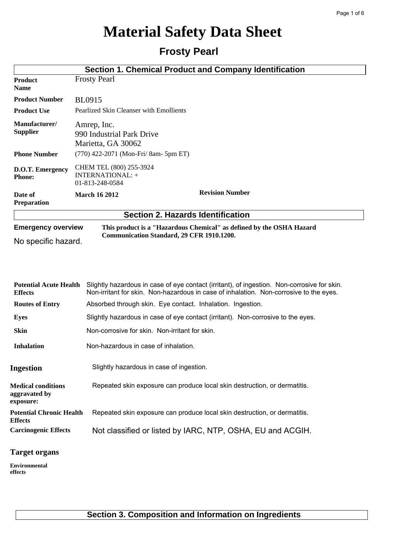# **Material Safety Data Sheet**

## **Frosty Pearl**

|                                                  |                                                                | Section 1. Chemical Product and Company Identification               |  |
|--------------------------------------------------|----------------------------------------------------------------|----------------------------------------------------------------------|--|
| <b>Product</b><br><b>Name</b>                    | <b>Frosty Pearl</b>                                            |                                                                      |  |
| <b>Product Number</b>                            | <b>BL0915</b>                                                  |                                                                      |  |
| <b>Product Use</b>                               | Pearlized Skin Cleanser with Emollients                        |                                                                      |  |
| Manufacturer/<br><b>Supplier</b>                 | Amrep, Inc.<br>990 Industrial Park Drive<br>Marietta, GA 30062 |                                                                      |  |
| <b>Phone Number</b>                              | $(770)$ 422-2071 (Mon-Fri/ 8am- 5pm ET)                        |                                                                      |  |
| D.O.T. Emergency<br><b>Phone:</b>                | CHEM TEL (800) 255-3924<br>INTERNATIONAL: +<br>01-813-248-0584 |                                                                      |  |
| Date of<br><b>Preparation</b>                    | <b>March 16 2012</b>                                           | <b>Revision Number</b>                                               |  |
|                                                  | <b>Section 2. Hazards Identification</b>                       |                                                                      |  |
| <b>Emergency overview</b><br>No specific hazard. | Communication Standard, 29 CFR 1910.1200.                      | This product is a "Hazardous Chemical" as defined by the OSHA Hazard |  |

| <b>Potential Acute Health</b><br><b>Effects</b>         | Slightly hazardous in case of eye contact (irritant), of ingestion. Non-corrosive for skin.<br>Non-irritant for skin. Non-hazardous in case of inhalation. Non-corrosive to the eyes. |
|---------------------------------------------------------|---------------------------------------------------------------------------------------------------------------------------------------------------------------------------------------|
| <b>Routes of Entry</b>                                  | Absorbed through skin. Eye contact. Inhalation. Ingestion.                                                                                                                            |
| Eyes                                                    | Slightly hazardous in case of eye contact (irritant). Non-corrosive to the eyes.                                                                                                      |
| <b>Skin</b>                                             | Non-corrosive for skin. Non-irritant for skin.                                                                                                                                        |
| <b>Inhalation</b>                                       | Non-hazardous in case of inhalation.                                                                                                                                                  |
| <b>Ingestion</b>                                        | Slightly hazardous in case of ingestion.                                                                                                                                              |
| <b>Medical conditions</b><br>aggravated by<br>exposure: | Repeated skin exposure can produce local skin destruction, or dermatitis.                                                                                                             |
| <b>Potential Chronic Health</b><br><b>Effects</b>       | Repeated skin exposure can produce local skin destruction, or dermatitis.                                                                                                             |
| <b>Carcinogenic Effects</b>                             | Not classified or listed by IARC, NTP, OSHA, EU and ACGIH.                                                                                                                            |

#### **Target organs**

**Environmental effects**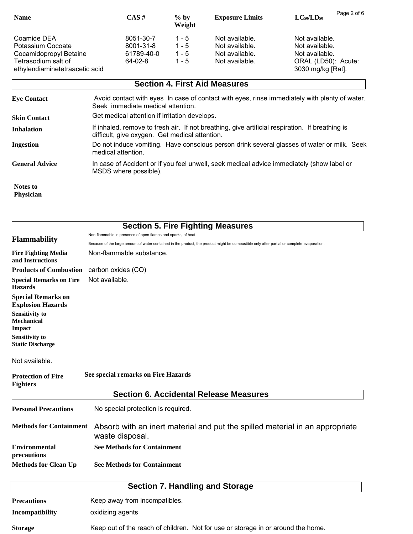| <b>Name</b>                                                                       | $CAS \#$                                        | $\%$ by<br>Weight                      | <b>Exposure Limits</b>                                               | Page 2 of 6<br>$LC_{50}/LD_{50}$                                          |
|-----------------------------------------------------------------------------------|-------------------------------------------------|----------------------------------------|----------------------------------------------------------------------|---------------------------------------------------------------------------|
| Coamide DEA<br>Potassium Cocoate<br>Cocamidopropyl Betaine<br>Tetrasodium salt of | 8051-30-7<br>8001-31-8<br>61789-40-0<br>64-02-8 | $1 - 5$<br>$1 - 5$<br>$1 - 5$<br>1 - 5 | Not available.<br>Not available.<br>Not available.<br>Not available. | Not available.<br>Not available.<br>Not available.<br>ORAL (LD50): Acute: |
| ethylendiaminetetraacetic acid                                                    |                                                 |                                        |                                                                      | 3030 mg/kg [Rat].                                                         |

|                              | <b>Section 4. First Aid Measures</b>                                                                                                              |
|------------------------------|---------------------------------------------------------------------------------------------------------------------------------------------------|
| <b>Eye Contact</b>           | Avoid contact with eyes In case of contact with eyes, rinse immediately with plenty of water.<br>Seek immediate medical attention.                |
| <b>Skin Contact</b>          | Get medical attention if irritation develops.                                                                                                     |
| Inhalation                   | If inhaled, remove to fresh air. If not breathing, give artificial respiration. If breathing is<br>difficult, give oxygen. Get medical attention. |
| <b>Ingestion</b>             | Do not induce vomiting. Have conscious person drink several glasses of water or milk. Seek<br>medical attention.                                  |
| <b>General Advice</b>        | In case of Accident or if you feel unwell, seek medical advice immediately (show label or<br>MSDS where possible).                                |
| Notes to<br><b>Physician</b> |                                                                                                                                                   |

|                                                             | <b>Section 5. Fire Fighting Measures</b>                                                                                                                                |
|-------------------------------------------------------------|-------------------------------------------------------------------------------------------------------------------------------------------------------------------------|
| <b>Flammability</b>                                         | Non-flammable in presence of open flames and sparks, of heat.                                                                                                           |
| <b>Fire Fighting Media</b><br>and Instructions              | Because of the large amount of water contained in the product, the product might be combustible only after partial or complete evaporation.<br>Non-flammable substance. |
| <b>Products of Combustion</b>                               | carbon oxides (CO)                                                                                                                                                      |
| <b>Special Remarks on Fire</b><br><b>Hazards</b>            | Not available.                                                                                                                                                          |
| <b>Special Remarks on</b><br><b>Explosion Hazards</b>       |                                                                                                                                                                         |
| <b>Sensitivity to</b><br><b>Mechanical</b><br><b>Impact</b> |                                                                                                                                                                         |
| <b>Sensitivity to</b><br><b>Static Discharge</b>            |                                                                                                                                                                         |
| Not available.                                              |                                                                                                                                                                         |
| <b>Protection of Fire</b><br><b>Fighters</b>                | See special remarks on Fire Hazards                                                                                                                                     |
|                                                             | <b>Section 6. Accidental Release Measures</b>                                                                                                                           |
| <b>Personal Precautions</b>                                 | No special protection is required.                                                                                                                                      |
| <b>Methods for Containment</b>                              | Absorb with an inert material and put the spilled material in an appropriate<br>waste disposal.                                                                         |
| <b>Environmental</b><br>precautions                         | <b>See Methods for Containment</b>                                                                                                                                      |
| <b>Methods for Clean Up</b>                                 | <b>See Methods for Containment</b>                                                                                                                                      |
|                                                             | <b>Section 7. Handling and Storage</b>                                                                                                                                  |
|                                                             |                                                                                                                                                                         |
| <b>Precautions</b>                                          | Keep away from incompatibles.                                                                                                                                           |
| <b>Incompatibility</b>                                      | oxidizing agents                                                                                                                                                        |

**Storage** Keep out of the reach of children. Not for use or storage in or around the home.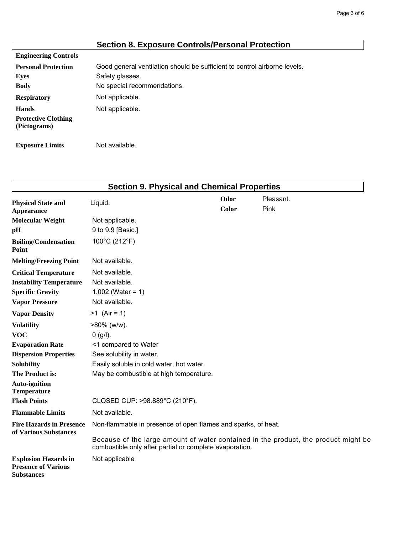|                                            | <b>Section 8. Exposure Controls/Personal Protection</b>                   |
|--------------------------------------------|---------------------------------------------------------------------------|
| <b>Engineering Controls</b>                |                                                                           |
| <b>Personal Protection</b>                 | Good general ventilation should be sufficient to control airborne levels. |
| Eyes                                       | Safety glasses.                                                           |
| <b>Body</b>                                | No special recommendations.                                               |
| <b>Respiratory</b>                         | Not applicable.                                                           |
| <b>Hands</b>                               | Not applicable.                                                           |
| <b>Protective Clothing</b><br>(Pictograms) |                                                                           |
| <b>Exposure Limits</b>                     | Not available.                                                            |

| <b>Section 9. Physical and Chemical Properties</b>                                                                                                                                                             |                                                                                                                                                                                                                 |               |                   |  |
|----------------------------------------------------------------------------------------------------------------------------------------------------------------------------------------------------------------|-----------------------------------------------------------------------------------------------------------------------------------------------------------------------------------------------------------------|---------------|-------------------|--|
| <b>Physical State and</b><br><b>Appearance</b>                                                                                                                                                                 | Liquid.                                                                                                                                                                                                         | Odor<br>Color | Pleasant.<br>Pink |  |
| <b>Molecular Weight</b><br>pH                                                                                                                                                                                  | Not applicable.<br>9 to 9.9 [Basic.]                                                                                                                                                                            |               |                   |  |
| <b>Boiling/Condensation</b><br>Point                                                                                                                                                                           | 100°C (212°F)                                                                                                                                                                                                   |               |                   |  |
| <b>Melting/Freezing Point</b>                                                                                                                                                                                  | Not available.                                                                                                                                                                                                  |               |                   |  |
| <b>Critical Temperature</b><br><b>Instability Temperature</b><br><b>Specific Gravity</b><br><b>Vapor Pressure</b>                                                                                              | Not available.<br>Not available.<br>1.002 (Water = $1)$<br>Not available.                                                                                                                                       |               |                   |  |
| <b>Vapor Density</b>                                                                                                                                                                                           | $>1$ (Air = 1)                                                                                                                                                                                                  |               |                   |  |
| <b>Volatility</b><br><b>VOC</b><br><b>Evaporation Rate</b><br><b>Dispersion Properties</b><br><b>Solubility</b><br><b>The Product is:</b><br><b>Auto-ignition</b><br><b>Temperature</b><br><b>Flash Points</b> | $>80\%$ (w/w).<br>0 (g/l).<br><1 compared to Water<br>See solubility in water.<br>Easily soluble in cold water, hot water.<br>May be combustible at high temperature.<br>CLOSED CUP: >98.889°C (210°F).         |               |                   |  |
| <b>Flammable Limits</b>                                                                                                                                                                                        | Not available.                                                                                                                                                                                                  |               |                   |  |
| <b>Fire Hazards in Presence</b><br>of Various Substances                                                                                                                                                       | Non-flammable in presence of open flames and sparks, of heat.<br>Because of the large amount of water contained in the product, the product might be<br>combustible only after partial or complete evaporation. |               |                   |  |
| <b>Explosion Hazards in</b><br><b>Presence of Various</b><br><b>Substances</b>                                                                                                                                 | Not applicable                                                                                                                                                                                                  |               |                   |  |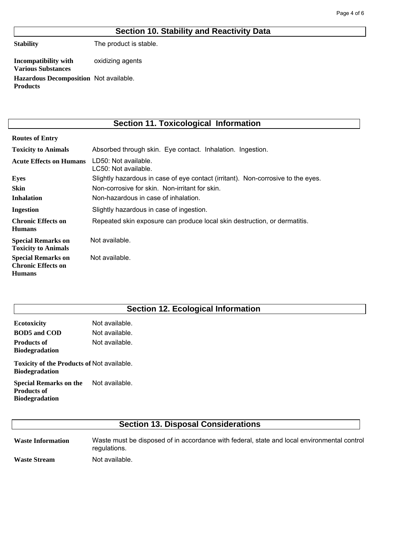#### **Section 10. Stability and Reactivity Data**

**Stability**

The product is stable.

oxidizing agents Hazardous Decomposition Not available. **Incompatibility with Various Substances Products**

## **Section 11. Toxicological Information**

| <b>Routes of Entry</b>                                                  |                                                                                  |
|-------------------------------------------------------------------------|----------------------------------------------------------------------------------|
| <b>Toxicity to Animals</b>                                              | Absorbed through skin. Eye contact. Inhalation. Ingestion.                       |
| <b>Acute Effects on Humans</b>                                          | LD50: Not available.<br>LC50: Not available.                                     |
| <b>Eyes</b>                                                             | Slightly hazardous in case of eye contact (irritant). Non-corrosive to the eyes. |
| <b>Skin</b>                                                             | Non-corrosive for skin. Non-irritant for skin.                                   |
| <b>Inhalation</b>                                                       | Non-hazardous in case of inhalation.                                             |
| Ingestion                                                               | Slightly hazardous in case of ingestion.                                         |
| <b>Chronic Effects on</b><br><b>Humans</b>                              | Repeated skin exposure can produce local skin destruction, or dermatitis.        |
| <b>Special Remarks on</b><br><b>Toxicity to Animals</b>                 | Not available.                                                                   |
| <b>Special Remarks on</b><br><b>Chronic Effects on</b><br><b>Humans</b> | Not available.                                                                   |

## **Section 12. Ecological Information**

Not available. Not available. Not available. **Ecotoxicity BOD5 and COD Products of Biodegradation**

Toxicity of the Products of Not available. **Biodegradation**

Not available. **Special Remarks on the Products of Biodegradation**

## **Section 13. Disposal Considerations**

Waste must be disposed of in accordance with federal, state and local environmental control regulations. Not available. **Waste Information Waste Stream**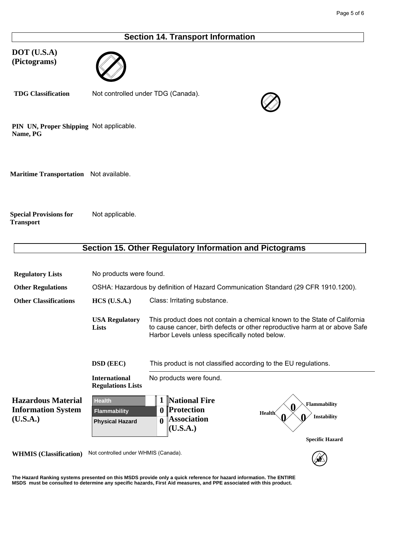#### **Section 14. Transport Information**

**DOT (U.S.A) (Pictograms)**



Not controlled under TDG (Canada). **TDG Classification**



PIN UN, Proper Shipping Not applicable. **Name, PG**

**Maritime Transportation** Not available.

Not applicable. **Special Provisions for Transport**

|                                                                    |                                                                                    | Section 15. Other Regulatory Information and Pictograms                                                                                                                                                   |  |
|--------------------------------------------------------------------|------------------------------------------------------------------------------------|-----------------------------------------------------------------------------------------------------------------------------------------------------------------------------------------------------------|--|
|                                                                    |                                                                                    |                                                                                                                                                                                                           |  |
| <b>Regulatory Lists</b>                                            | No products were found.                                                            |                                                                                                                                                                                                           |  |
| <b>Other Regulations</b>                                           | OSHA: Hazardous by definition of Hazard Communication Standard (29 CFR 1910.1200). |                                                                                                                                                                                                           |  |
| <b>Other Classifications</b>                                       | $HCS$ (U.S.A.)                                                                     | Class: Irritating substance.                                                                                                                                                                              |  |
|                                                                    | <b>USA Regulatory</b><br><b>Lists</b>                                              | This product does not contain a chemical known to the State of California<br>to cause cancer, birth defects or other reproductive harm at or above Safe<br>Harbor Levels unless specifically noted below. |  |
|                                                                    | <b>DSD</b> (EEC)                                                                   | This product is not classified according to the EU regulations.                                                                                                                                           |  |
|                                                                    | <b>International</b><br><b>Regulations Lists</b>                                   | No products were found.                                                                                                                                                                                   |  |
| <b>Hazardous Material</b><br><b>Information System</b><br>(U.S.A.) | <b>Health</b><br><b>Flammability</b><br><b>Physical Hazard</b>                     | 1 National Fire<br>Flammability<br>0 Protection<br><b>Health</b><br><b>Instability</b><br><b>Association</b><br>$\boldsymbol{0}$<br>(U.S.A.)                                                              |  |
|                                                                    |                                                                                    | <b>Specific Hazard</b>                                                                                                                                                                                    |  |
| <b>WHMIS</b> (Classification)                                      | Not controlled under WHMIS (Canada).                                               |                                                                                                                                                                                                           |  |

**The Hazard Ranking systems presented on this MSDS provide only a quick reference for hazard information. The ENTIRE MSDS must be consulted to determine any specific hazards, First Aid measures, and PPE associated with this product.**